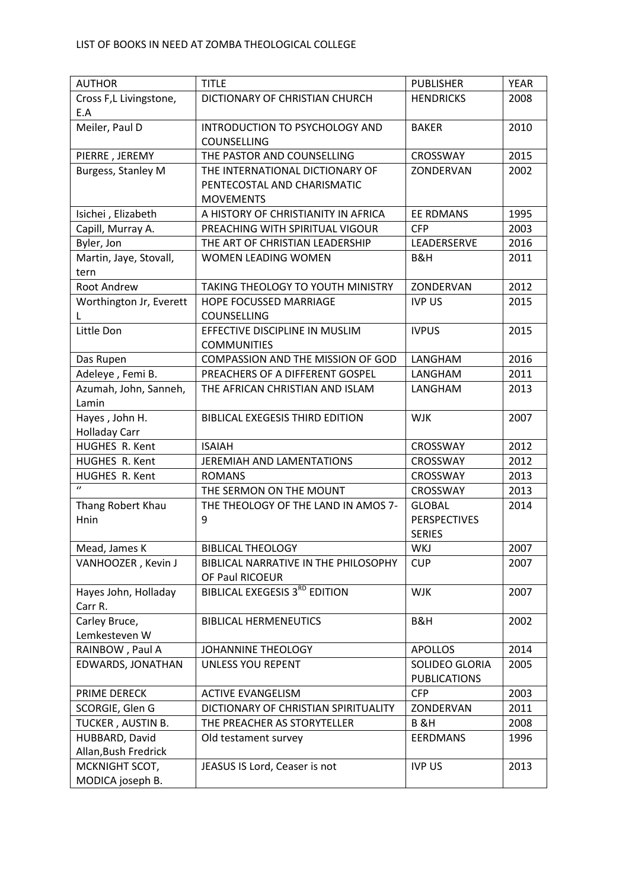| <b>AUTHOR</b>                          | <b>TITLE</b>                           | <b>PUBLISHER</b>    | <b>YEAR</b> |
|----------------------------------------|----------------------------------------|---------------------|-------------|
| Cross F,L Livingstone,                 | DICTIONARY OF CHRISTIAN CHURCH         | <b>HENDRICKS</b>    | 2008        |
| E.A                                    |                                        |                     |             |
| Meiler, Paul D                         | INTRODUCTION TO PSYCHOLOGY AND         | <b>BAKER</b>        | 2010        |
|                                        | COUNSELLING                            |                     |             |
| PIERRE, JEREMY                         | THE PASTOR AND COUNSELLING             | <b>CROSSWAY</b>     | 2015        |
| Burgess, Stanley M                     | THE INTERNATIONAL DICTIONARY OF        | ZONDERVAN           | 2002        |
|                                        | PENTECOSTAL AND CHARISMATIC            |                     |             |
|                                        | <b>MOVEMENTS</b>                       |                     |             |
| Isichei, Elizabeth                     | A HISTORY OF CHRISTIANITY IN AFRICA    | <b>EE RDMANS</b>    | 1995        |
| Capill, Murray A.                      | PREACHING WITH SPIRITUAL VIGOUR        | <b>CFP</b>          | 2003        |
| Byler, Jon                             | THE ART OF CHRISTIAN LEADERSHIP        | LEADERSERVE         | 2016        |
| Martin, Jaye, Stovall,                 | WOMEN LEADING WOMEN                    | B&H                 | 2011        |
| tern                                   |                                        |                     |             |
| Root Andrew                            | TAKING THEOLOGY TO YOUTH MINISTRY      | ZONDERVAN           | 2012        |
| Worthington Jr, Everett                | <b>HOPE FOCUSSED MARRIAGE</b>          | <b>IVP US</b>       | 2015        |
| L                                      | COUNSELLING                            |                     |             |
| Little Don                             | EFFECTIVE DISCIPLINE IN MUSLIM         | <b>IVPUS</b>        | 2015        |
|                                        | <b>COMMUNITIES</b>                     |                     |             |
| Das Rupen                              | COMPASSION AND THE MISSION OF GOD      | LANGHAM             | 2016        |
| Adeleye, Femi B.                       | PREACHERS OF A DIFFERENT GOSPEL        | LANGHAM             | 2011        |
| Azumah, John, Sanneh,                  | THE AFRICAN CHRISTIAN AND ISLAM        | LANGHAM             | 2013        |
| Lamin                                  |                                        |                     |             |
| Hayes, John H.<br><b>Holladay Carr</b> | <b>BIBLICAL EXEGESIS THIRD EDITION</b> | <b>WJK</b>          | 2007        |
| HUGHES R. Kent                         | <b>ISAIAH</b>                          | <b>CROSSWAY</b>     | 2012        |
| HUGHES R. Kent                         | JEREMIAH AND LAMENTATIONS              | <b>CROSSWAY</b>     | 2012        |
| HUGHES R. Kent                         | <b>ROMANS</b>                          | CROSSWAY            | 2013        |
| $\theta$                               | THE SERMON ON THE MOUNT                | <b>CROSSWAY</b>     | 2013        |
| Thang Robert Khau                      | THE THEOLOGY OF THE LAND IN AMOS 7-    | <b>GLOBAL</b>       | 2014        |
| Hnin                                   | 9                                      | <b>PERSPECTIVES</b> |             |
|                                        |                                        | <b>SERIES</b>       |             |
| Mead, James K                          | <b>BIBLICAL THEOLOGY</b>               | WKJ                 | 2007        |
| VANHOOZER, Kevin J                     | BIBLICAL NARRATIVE IN THE PHILOSOPHY   | <b>CUP</b>          | 2007        |
|                                        | OF Paul RICOEUR                        |                     |             |
| Hayes John, Holladay                   | <b>BIBLICAL EXEGESIS 3RD EDITION</b>   | <b>WJK</b>          | 2007        |
| Carr R.                                |                                        |                     |             |
| Carley Bruce,                          | <b>BIBLICAL HERMENEUTICS</b>           | B&H                 | 2002        |
| Lemkesteven W                          |                                        |                     |             |
| RAINBOW, Paul A                        | JOHANNINE THEOLOGY                     | <b>APOLLOS</b>      | 2014        |
| EDWARDS, JONATHAN                      | UNLESS YOU REPENT                      | SOLIDEO GLORIA      | 2005        |
|                                        |                                        | <b>PUBLICATIONS</b> |             |
| PRIME DERECK                           | <b>ACTIVE EVANGELISM</b>               | <b>CFP</b>          | 2003        |
| SCORGIE, Glen G                        | DICTIONARY OF CHRISTIAN SPIRITUALITY   | ZONDERVAN           | 2011        |
| TUCKER, AUSTIN B.                      | THE PREACHER AS STORYTELLER            | <b>B &amp;H</b>     | 2008        |
| HUBBARD, David                         | Old testament survey                   | <b>EERDMANS</b>     | 1996        |
| Allan, Bush Fredrick                   |                                        |                     |             |
| MCKNIGHT SCOT,                         | JEASUS IS Lord, Ceaser is not          | <b>IVP US</b>       | 2013        |
| MODICA joseph B.                       |                                        |                     |             |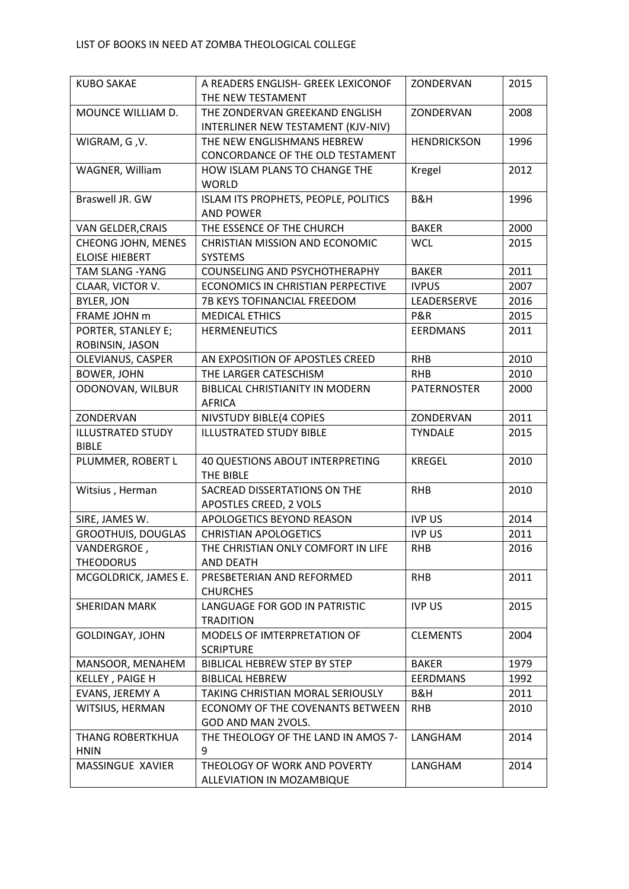| <b>KUBO SAKAE</b>                        | A READERS ENGLISH- GREEK LEXICONOF<br>THE NEW TESTAMENT | ZONDERVAN          | 2015 |
|------------------------------------------|---------------------------------------------------------|--------------------|------|
| MOUNCE WILLIAM D.                        | THE ZONDERVAN GREEKAND ENGLISH                          | ZONDERVAN          | 2008 |
|                                          | INTERLINER NEW TESTAMENT (KJV-NIV)                      |                    |      |
| WIGRAM, G, V.                            | THE NEW ENGLISHMANS HEBREW                              | <b>HENDRICKSON</b> | 1996 |
|                                          | CONCORDANCE OF THE OLD TESTAMENT                        |                    |      |
| WAGNER, William                          | HOW ISLAM PLANS TO CHANGE THE                           | Kregel             | 2012 |
|                                          | <b>WORLD</b>                                            |                    |      |
| Braswell JR. GW                          | ISLAM ITS PROPHETS, PEOPLE, POLITICS                    | B&H                | 1996 |
|                                          | <b>AND POWER</b>                                        |                    |      |
| VAN GELDER, CRAIS                        | THE ESSENCE OF THE CHURCH                               | <b>BAKER</b>       | 2000 |
| CHEONG JOHN, MENES                       | <b>CHRISTIAN MISSION AND ECONOMIC</b>                   | <b>WCL</b>         | 2015 |
| <b>ELOISE HIEBERT</b>                    | <b>SYSTEMS</b>                                          |                    |      |
| <b>TAM SLANG - YANG</b>                  | <b>COUNSELING AND PSYCHOTHERAPHY</b>                    | <b>BAKER</b>       | 2011 |
| CLAAR, VICTOR V.                         | ECONOMICS IN CHRISTIAN PERPECTIVE                       | <b>IVPUS</b>       | 2007 |
| <b>BYLER, JON</b>                        | 7B KEYS TOFINANCIAL FREEDOM                             | LEADERSERVE        | 2016 |
| FRAME JOHN m                             | <b>MEDICAL ETHICS</b>                                   | P&R                | 2015 |
| PORTER, STANLEY E;<br>ROBINSIN, JASON    | <b>HERMENEUTICS</b>                                     | <b>EERDMANS</b>    | 2011 |
| <b>OLEVIANUS, CASPER</b>                 | AN EXPOSITION OF APOSTLES CREED                         | <b>RHB</b>         | 2010 |
| <b>BOWER, JOHN</b>                       | THE LARGER CATESCHISM                                   | <b>RHB</b>         | 2010 |
| ODONOVAN, WILBUR                         | BIBLICAL CHRISTIANITY IN MODERN<br><b>AFRICA</b>        | <b>PATERNOSTER</b> | 2000 |
| ZONDERVAN                                | NIVSTUDY BIBLE(4 COPIES                                 | ZONDERVAN          | 2011 |
| <b>ILLUSTRATED STUDY</b><br><b>BIBLE</b> | <b>ILLUSTRATED STUDY BIBLE</b>                          | <b>TYNDALE</b>     | 2015 |
| PLUMMER, ROBERT L                        | 40 QUESTIONS ABOUT INTERPRETING<br>THE BIBLE            | <b>KREGEL</b>      | 2010 |
| Witsius, Herman                          | SACREAD DISSERTATIONS ON THE                            | <b>RHB</b>         | 2010 |
|                                          | APOSTLES CREED, 2 VOLS                                  |                    |      |
| SIRE, JAMES W.                           | APOLOGETICS BEYOND REASON                               | <b>IVP US</b>      | 2014 |
| <b>GROOTHUIS, DOUGLAS</b>                | <b>CHRISTIAN APOLOGETICS</b>                            | <b>IVP US</b>      | 2011 |
| VANDERGROE,                              | THE CHRISTIAN ONLY COMFORT IN LIFE                      | <b>RHB</b>         | 2016 |
| <b>THEODORUS</b>                         | AND DEATH                                               |                    |      |
| MCGOLDRICK, JAMES E.                     | PRESBETERIAN AND REFORMED<br><b>CHURCHES</b>            | <b>RHB</b>         | 2011 |
| <b>SHERIDAN MARK</b>                     | LANGUAGE FOR GOD IN PATRISTIC                           | <b>IVP US</b>      | 2015 |
|                                          | <b>TRADITION</b>                                        |                    |      |
| <b>GOLDINGAY, JOHN</b>                   | MODELS OF IMTERPRETATION OF<br><b>SCRIPTURE</b>         | <b>CLEMENTS</b>    | 2004 |
| MANSOOR, MENAHEM                         | <b>BIBLICAL HEBREW STEP BY STEP</b>                     | <b>BAKER</b>       | 1979 |
| KELLEY, PAIGE H                          | <b>BIBLICAL HEBREW</b>                                  | <b>EERDMANS</b>    | 1992 |
| EVANS, JEREMY A                          | TAKING CHRISTIAN MORAL SERIOUSLY                        | B&H                | 2011 |
| WITSIUS, HERMAN                          | ECONOMY OF THE COVENANTS BETWEEN                        | <b>RHB</b>         | 2010 |
|                                          | GOD AND MAN 2VOLS.                                      |                    |      |
| <b>THANG ROBERTKHUA</b>                  | THE THEOLOGY OF THE LAND IN AMOS 7-                     | LANGHAM            | 2014 |
| <b>HNIN</b>                              | 9                                                       |                    |      |
| <b>MASSINGUE XAVIER</b>                  | THEOLOGY OF WORK AND POVERTY                            | LANGHAM            | 2014 |
|                                          | ALLEVIATION IN MOZAMBIQUE                               |                    |      |